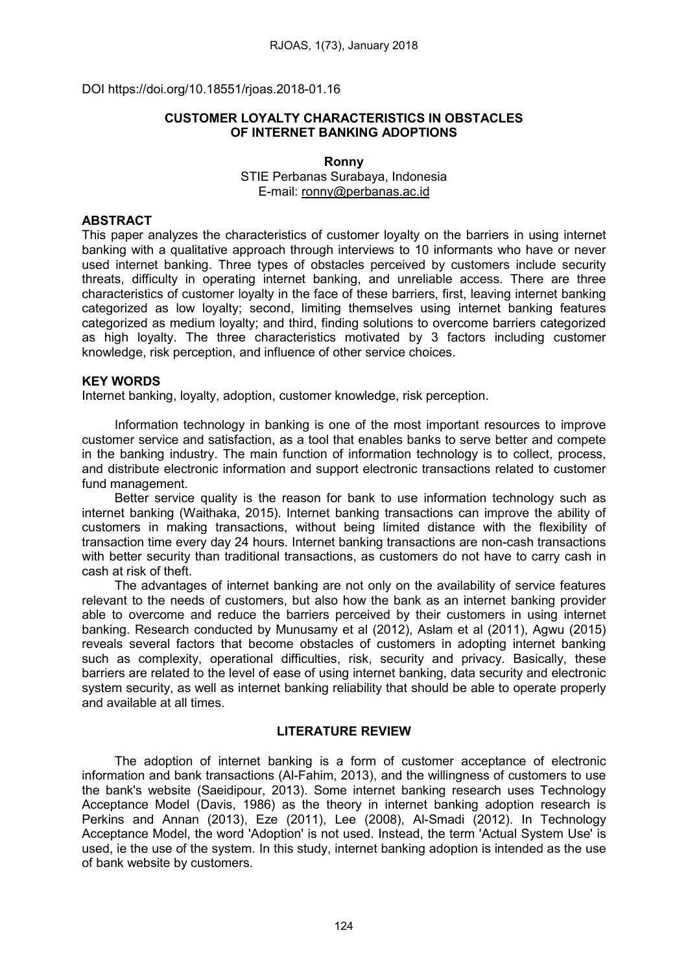DOI https://doi.org/10.18551/rjoas.2018-01.16

## CUSTOMER LOYALTY CHARACTERISTICS IN OBSTACLES OF INTERNET BANKING ADOPTIONS

#### Ronny STIE Perbanas Surabaya, Indonesia E-mail: [ronny@perbanas.ac.id](mailto:ronny@perbanas.ac.id)

# **ABSTRACT**

This paper analyzes the characteristics of customer loyalty on the barriers in using internet banking with a qualitative approach through interviews to 10 informants who have or never used internet banking. Three types of obstacles perceived by customers include security threats, difficulty in operating internet banking, and unreliable access. There are three characteristics of customer loyalty in the face of these barriers, first, leaving internet banking categorized as low loyalty; second, limiting themselves using internet banking features categorized as medium loyalty; and third, finding solutions to overcome barriers categorized as high loyalty. The three characteristics motivated by 3 factors including customer knowledge, risk perception, and influence of other service choices.

### KEY WORDS

Internet banking, loyalty, adoption, customer knowledge, risk perception.

Information technology in banking is one of the most important resources to improve customer service and satisfaction, as a tool that enables banks to serve better and compete in the banking industry. The main function of information technology is to collect, process, and distribute electronic information and support electronic transactions related to customer fund management.

Better service quality is the reason for bank to use information technology such as internet banking (Waithaka, 2015). Internet banking transactions can improve the ability of customers in making transactions, without being limited distance with the flexibility of transaction time every day 24 hours. Internet banking transactions are non-cash transactions with better security than traditional transactions, as customers do not have to carry cash in cash at risk of theft.

The advantages of internet banking are not only on the availability of service features relevant to the needs of customers, but also how the bank as an internet banking provider able to overcome and reduce the barriers perceived by their customers in using internet banking. Research conducted by Munusamy et al (2012), Aslam et al (2011), Agwu (2015) reveals several factors that become obstacles of customers in adopting internet banking such as complexity, operational difficulties, risk, security and privacy. Basically, these barriers are related to the level of ease of using internet banking, data security and electronic system security, as well as internet banking reliability that should be able to operate properly and available at all times.

## LITERATURE REVIEW

The adoption of internet banking is a form of customer acceptance of electronic information and bank transactions (Al-Fahim, 2013), and the willingness of customers to use the bank's website (Saeidipour, 2013). Some internet banking research uses Technology Acceptance Model (Davis, 1986) as the theory in internet banking adoption research is Perkins and Annan (2013), Eze (2011), Lee (2008), Al-Smadi (2012). In Technology Acceptance Model, the word 'Adoption' is not used. Instead, the term 'Actual System Use' is used, ie the use of the system. In this study, internet banking adoption is intended as the use of bank website by customers.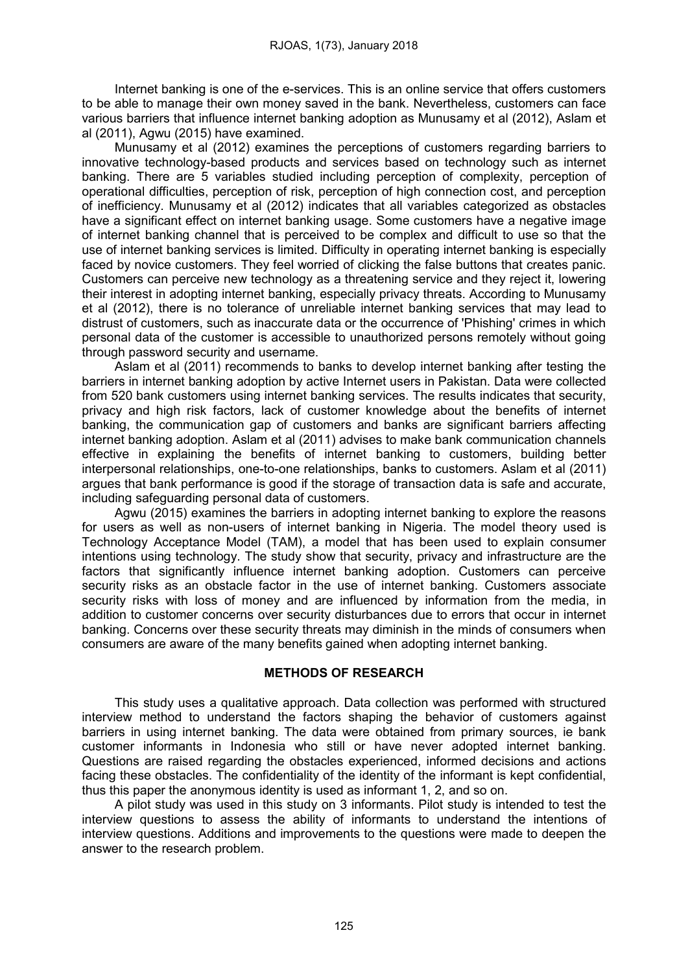Internet banking is one of the e-services. This is an online service that offers customers to be able to manage their own money saved in the bank. Nevertheless, customers can face various barriers that influence internet banking adoption as Munusamy et al (2012), Aslam et al (2011), Agwu (2015) have examined.

Munusamy et al (2012) examines the perceptions of customers regarding barriers to innovative technology-based products and services based on technology such as internet banking. There are 5 variables studied including perception of complexity, perception of operational difficulties, perception of risk, perception of high connection cost, and perception of inefficiency. Munusamy et al (2012) indicates that all variables categorized as obstacles have a significant effect on internet banking usage. Some customers have a negative image of internet banking channel that is perceived to be complex and difficult to use so that the use of internet banking services is limited. Difficulty in operating internet banking is especially faced by novice customers. They feel worried of clicking the false buttons that creates panic. Customers can perceive new technology as a threatening service and they reject it, lowering their interest in adopting internet banking, especially privacy threats. According to Munusamy et al (2012), there is no tolerance of unreliable internet banking services that may lead to distrust of customers, such as inaccurate data or the occurrence of 'Phishing' crimes in which personal data of the customer is accessible to unauthorized persons remotely without going through password security and username.

Aslam et al (2011) recommends to banks to develop internet banking after testing the barriers in internet banking adoption by active Internet users in Pakistan. Data were collected from 520 bank customers using internet banking services. The results indicates that security, privacy and high risk factors, lack of customer knowledge about the benefits of internet banking, the communication gap of customers and banks are significant barriers affecting internet banking adoption. Aslam et al (2011) advises to make bank communication channels effective in explaining the benefits of internet banking to customers, building better interpersonal relationships, one-to-one relationships, banks to customers. Aslam et al (2011) argues that bank performance is good if the storage of transaction data is safe and accurate, including safeguarding personal data of customers.

Agwu (2015) examines the barriers in adopting internet banking to explore the reasons for users as well as non-users of internet banking in Nigeria. The model theory used is Technology Acceptance Model (TAM), a model that has been used to explain consumer intentions using technology. The study show that security, privacy and infrastructure are the factors that significantly influence internet banking adoption. Customers can perceive security risks as an obstacle factor in the use of internet banking. Customers associate security risks with loss of money and are influenced by information from the media, in addition to customer concerns over security disturbances due to errors that occur in internet banking. Concerns over these security threats may diminish in the minds of consumers when consumers are aware of the many benefits gained when adopting internet banking.

### METHODS OF RESEARCH

This study uses a qualitative approach. Data collection was performed with structured interview method to understand the factors shaping the behavior of customers against barriers in using internet banking. The data were obtained from primary sources, ie bank customer informants in Indonesia who still or have never adopted internet banking. Questions are raised regarding the obstacles experienced, informed decisions and actions facing these obstacles. The confidentiality of the identity of the informant is kept confidential, thus this paper the anonymous identity is used as informant 1, 2, and so on.

A pilot study was used in this study on 3 informants. Pilot study is intended to test the interview questions to assess the ability of informants to understand the intentions of interview questions. Additions and improvements to the questions were made to deepen the answer to the research problem.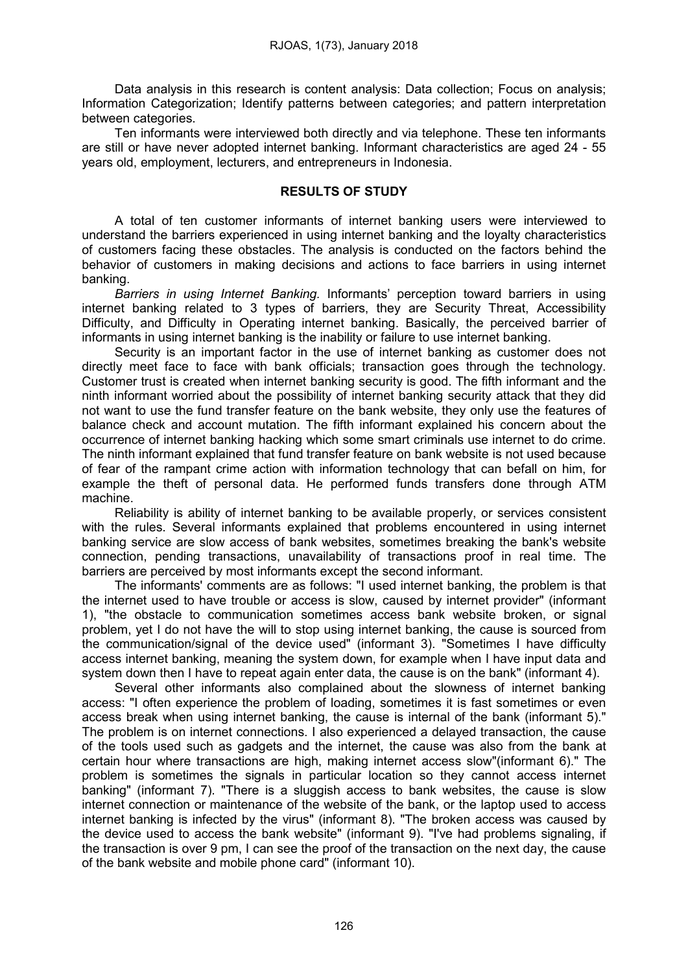Data analysis in this research is content analysis: Data collection; Focus on analysis; Information Categorization; Identify patterns between categories; and pattern interpretation between categories.

Ten informants were interviewed both directly and via telephone. These ten informants are still or have never adopted internet banking. Informant characteristics are aged 24 - 55 years old, employment, lecturers, and entrepreneurs in Indonesia.

### RESULTS OF STUDY

A total of ten customer informants of internet banking users were interviewed to understand the barriers experienced in using internet banking and the loyalty characteristics of customers facing these obstacles. The analysis is conducted on the factors behind the behavior of customers in making decisions and actions to face barriers in using internet banking.

*Barriers in using Internet Banking.* Informants' perception toward barriers in using internet banking related to 3 types of barriers, they are Security Threat, Accessibility Difficulty, and Difficulty in Operating internet banking. Basically, the perceived barrier of informants in using internet banking is the inability or failure to use internet banking.

Security is an important factor in the use of internet banking as customer does not directly meet face to face with bank officials; transaction goes through the technology. Customer trust is created when internet banking security is good. The fifth informant and the ninth informant worried about the possibility of internet banking security attack that they did not want to use the fund transfer feature on the bank website, they only use the features of balance check and account mutation. The fifth informant explained his concern about the occurrence of internet banking hacking which some smart criminals use internet to do crime. The ninth informant explained that fund transfer feature on bank website is not used because of fear of the rampant crime action with information technology that can befall on him, for example the theft of personal data. He performed funds transfers done through ATM machine.

Reliability is ability of internet banking to be available properly, or services consistent with the rules. Several informants explained that problems encountered in using internet banking service are slow access of bank websites, sometimes breaking the bank's website connection, pending transactions, unavailability of transactions proof in real time. The barriers are perceived by most informants except the second informant.

The informants' comments are as follows: "I used internet banking, the problem is that the internet used to have trouble or access is slow, caused by internet provider" (informant 1), "the obstacle to communication sometimes access bank website broken, or signal problem, yet I do not have the will to stop using internet banking, the cause is sourced from the communication/signal of the device used" (informant 3). "Sometimes I have difficulty access internet banking, meaning the system down, for example when I have input data and system down then I have to repeat again enter data, the cause is on the bank" (informant 4).

Several other informants also complained about the slowness of internet banking access: "I often experience the problem of loading, sometimes it is fast sometimes or even access break when using internet banking, the cause is internal of the bank (informant 5)." The problem is on internet connections. I also experienced a delayed transaction, the cause of the tools used such as gadgets and the internet, the cause was also from the bank at certain hour where transactions are high, making internet access slow"(informant 6)." The problem is sometimes the signals in particular location so they cannot access internet banking" (informant 7). "There is a sluggish access to bank websites, the cause is slow internet connection or maintenance of the website of the bank, or the laptop used to access internet banking is infected by the virus" (informant 8). "The broken access was caused by the device used to access the bank website" (informant 9). "I've had problems signaling, if the transaction is over 9 pm, I can see the proof of the transaction on the next day, the cause of the bank website and mobile phone card" (informant 10).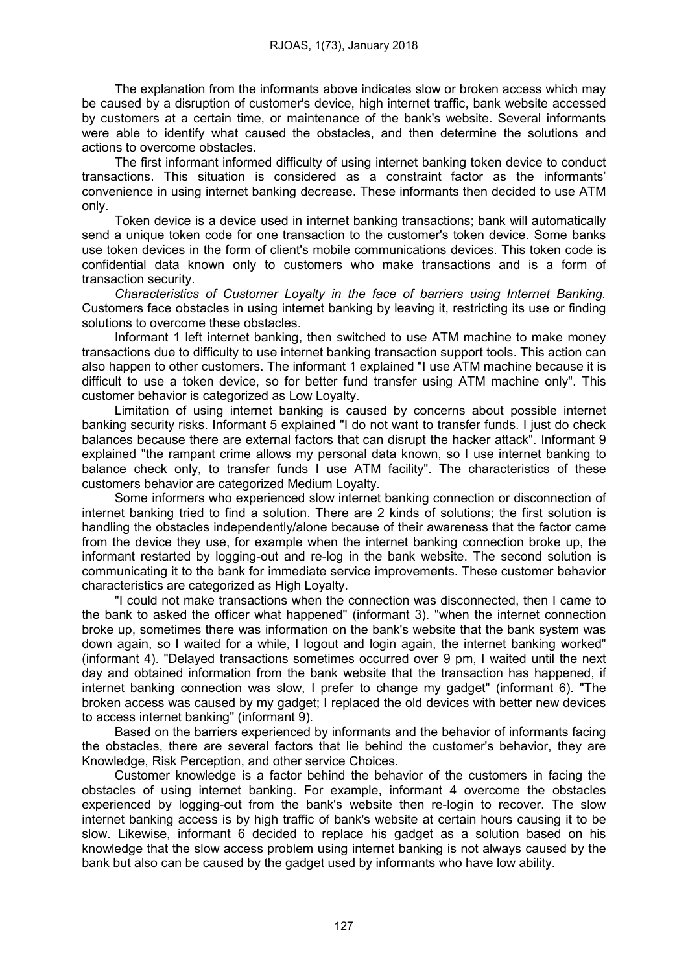The explanation from the informants above indicates slow or broken access which may be caused by a disruption of customer's device, high internet traffic, bank website accessed by customers at a certain time, or maintenance of the bank's website. Several informants were able to identify what caused the obstacles, and then determine the solutions and actions to overcome obstacles.

The first informant informed difficulty of using internet banking token device to conduct transactions. This situation is considered as a constraint factor as the informants' convenience in using internet banking decrease. These informants then decided to use ATM only.

Token device is a device used in internet banking transactions; bank will automatically send a unique token code for one transaction to the customer's token device. Some banks use token devices in the form of client's mobile communications devices. This token code is confidential data known only to customers who make transactions and is a form of transaction security.

*Characteristics of Customer Loyalty in the face of barriers using Internet Banking.*  Customers face obstacles in using internet banking by leaving it, restricting its use or finding solutions to overcome these obstacles.

Informant 1 left internet banking, then switched to use ATM machine to make money transactions due to difficulty to use internet banking transaction support tools. This action can also happen to other customers. The informant 1 explained "I use ATM machine because it is difficult to use a token device, so for better fund transfer using ATM machine only". This customer behavior is categorized as Low Loyalty.

Limitation of using internet banking is caused by concerns about possible internet banking security risks. Informant 5 explained "I do not want to transfer funds. I just do check balances because there are external factors that can disrupt the hacker attack". Informant 9 explained "the rampant crime allows my personal data known, so I use internet banking to balance check only, to transfer funds I use ATM facility". The characteristics of these customers behavior are categorized Medium Loyalty.

Some informers who experienced slow internet banking connection or disconnection of internet banking tried to find a solution. There are 2 kinds of solutions; the first solution is handling the obstacles independently/alone because of their awareness that the factor came from the device they use, for example when the internet banking connection broke up, the informant restarted by logging-out and re-log in the bank website. The second solution is communicating it to the bank for immediate service improvements. These customer behavior characteristics are categorized as High Loyalty.

"I could not make transactions when the connection was disconnected, then I came to the bank to asked the officer what happened" (informant 3). "when the internet connection broke up, sometimes there was information on the bank's website that the bank system was down again, so I waited for a while, I logout and login again, the internet banking worked" (informant 4). "Delayed transactions sometimes occurred over 9 pm, I waited until the next day and obtained information from the bank website that the transaction has happened, if internet banking connection was slow, I prefer to change my gadget" (informant 6). "The broken access was caused by my gadget; I replaced the old devices with better new devices to access internet banking" (informant 9).

Based on the barriers experienced by informants and the behavior of informants facing the obstacles, there are several factors that lie behind the customer's behavior, they are Knowledge, Risk Perception, and other service Choices.

Customer knowledge is a factor behind the behavior of the customers in facing the obstacles of using internet banking. For example, informant 4 overcome the obstacles experienced by logging-out from the bank's website then re-login to recover. The slow internet banking access is by high traffic of bank's website at certain hours causing it to be slow. Likewise, informant 6 decided to replace his gadget as a solution based on his knowledge that the slow access problem using internet banking is not always caused by the bank but also can be caused by the gadget used by informants who have low ability.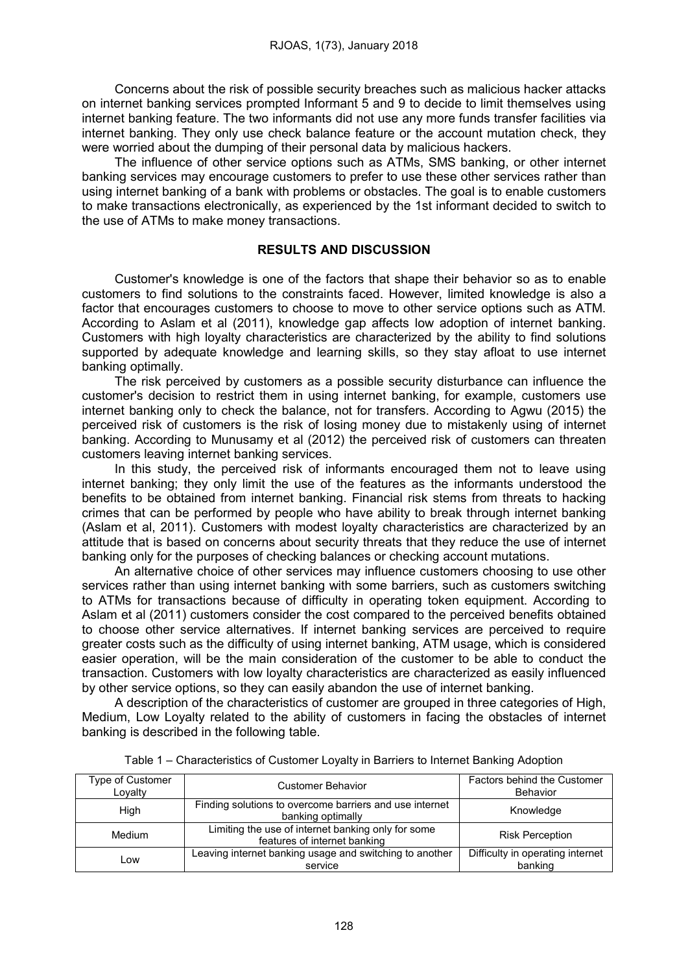Concerns about the risk of possible security breaches such as malicious hacker attacks on internet banking services prompted Informant 5 and 9 to decide to limit themselves using internet banking feature. The two informants did not use any more funds transfer facilities via internet banking. They only use check balance feature or the account mutation check, they were worried about the dumping of their personal data by malicious hackers.

The influence of other service options such as ATMs, SMS banking, or other internet banking services may encourage customers to prefer to use these other services rather than using internet banking of a bank with problems or obstacles. The goal is to enable customers to make transactions electronically, as experienced by the 1st informant decided to switch to the use of ATMs to make money transactions.

### RESULTS AND DISCUSSION

Customer's knowledge is one of the factors that shape their behavior so as to enable customers to find solutions to the constraints faced. However, limited knowledge is also a factor that encourages customers to choose to move to other service options such as ATM. According to Aslam et al (2011), knowledge gap affects low adoption of internet banking. Customers with high loyalty characteristics are characterized by the ability to find solutions supported by adequate knowledge and learning skills, so they stay afloat to use internet banking optimally.

The risk perceived by customers as a possible security disturbance can influence the customer's decision to restrict them in using internet banking, for example, customers use internet banking only to check the balance, not for transfers. According to Agwu (2015) the perceived risk of customers is the risk of losing money due to mistakenly using of internet banking. According to Munusamy et al (2012) the perceived risk of customers can threaten customers leaving internet banking services.

In this study, the perceived risk of informants encouraged them not to leave using internet banking; they only limit the use of the features as the informants understood the benefits to be obtained from internet banking. Financial risk stems from threats to hacking crimes that can be performed by people who have ability to break through internet banking (Aslam et al, 2011). Customers with modest loyalty characteristics are characterized by an attitude that is based on concerns about security threats that they reduce the use of internet banking only for the purposes of checking balances or checking account mutations.

An alternative choice of other services may influence customers choosing to use other services rather than using internet banking with some barriers, such as customers switching to ATMs for transactions because of difficulty in operating token equipment. According to Aslam et al (2011) customers consider the cost compared to the perceived benefits obtained to choose other service alternatives. If internet banking services are perceived to require greater costs such as the difficulty of using internet banking, ATM usage, which is considered easier operation, will be the main consideration of the customer to be able to conduct the transaction. Customers with low loyalty characteristics are characterized as easily influenced by other service options, so they can easily abandon the use of internet banking.

A description of the characteristics of customer are grouped in three categories of High, Medium, Low Loyalty related to the ability of customers in facing the obstacles of internet banking is described in the following table.

| Type of Customer<br>Lovalty | Customer Behavior                                                                  | Factors behind the Customer<br>Behavior     |  |
|-----------------------------|------------------------------------------------------------------------------------|---------------------------------------------|--|
| High                        | Finding solutions to overcome barriers and use internet<br>banking optimally       | Knowledge                                   |  |
| Medium                      | Limiting the use of internet banking only for some<br>features of internet banking | <b>Risk Perception</b>                      |  |
| LOW                         | Leaving internet banking usage and switching to another<br>service                 | Difficulty in operating internet<br>banking |  |

| Table 1 – Characteristics of Customer Loyalty in Barriers to Internet Banking Adoption |  |  |  |
|----------------------------------------------------------------------------------------|--|--|--|
|                                                                                        |  |  |  |
|                                                                                        |  |  |  |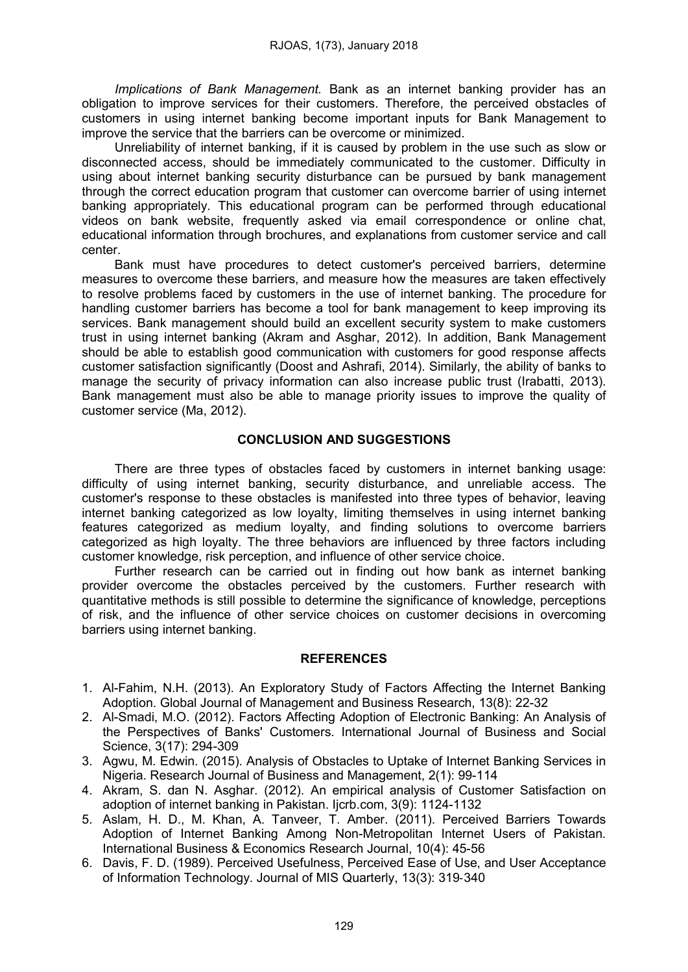*Implications of Bank Management.* Bank as an internet banking provider has an obligation to improve services for their customers. Therefore, the perceived obstacles of customers in using internet banking become important inputs for Bank Management to improve the service that the barriers can be overcome or minimized.

Unreliability of internet banking, if it is caused by problem in the use such as slow or disconnected access, should be immediately communicated to the customer. Difficulty in using about internet banking security disturbance can be pursued by bank management through the correct education program that customer can overcome barrier of using internet banking appropriately. This educational program can be performed through educational videos on bank website, frequently asked via email correspondence or online chat, educational information through brochures, and explanations from customer service and call center.

Bank must have procedures to detect customer's perceived barriers, determine measures to overcome these barriers, and measure how the measures are taken effectively to resolve problems faced by customers in the use of internet banking. The procedure for handling customer barriers has become a tool for bank management to keep improving its services. Bank management should build an excellent security system to make customers trust in using internet banking (Akram and Asghar, 2012). In addition, Bank Management should be able to establish good communication with customers for good response affects customer satisfaction significantly (Doost and Ashrafi, 2014). Similarly, the ability of banks to manage the security of privacy information can also increase public trust (Irabatti, 2013). Bank management must also be able to manage priority issues to improve the quality of customer service (Ma, 2012).

## CONCLUSION AND SUGGESTIONS

There are three types of obstacles faced by customers in internet banking usage: difficulty of using internet banking, security disturbance, and unreliable access. The customer's response to these obstacles is manifested into three types of behavior, leaving internet banking categorized as low loyalty, limiting themselves in using internet banking features categorized as medium loyalty, and finding solutions to overcome barriers categorized as high loyalty. The three behaviors are influenced by three factors including customer knowledge, risk perception, and influence of other service choice.

Further research can be carried out in finding out how bank as internet banking provider overcome the obstacles perceived by the customers. Further research with quantitative methods is still possible to determine the significance of knowledge, perceptions of risk, and the influence of other service choices on customer decisions in overcoming barriers using internet banking.

### REFERENCES

- 1. Al-Fahim, N.H. (2013). An Exploratory Study of Factors Affecting the Internet Banking Adoption. Global Journal of Management and Business Research, 13(8): 22-32
- 2. Al-Smadi, M.O. (2012). Factors Affecting Adoption of Electronic Banking: An Analysis of the Perspectives of Banks' Customers. International Journal of Business and Social Science, 3(17): 294-309
- 3. Agwu, M. Edwin. (2015). Analysis of Obstacles to Uptake of Internet Banking Services in Nigeria. Research Journal of Business and Management, 2(1): 99-114
- 4. Akram, S. dan N. Asghar. (2012). An empirical analysis of Customer Satisfaction on adoption of internet banking in Pakistan. Ijcrb.com, 3(9): 1124-1132
- 5. Aslam, H. D., M. Khan, A. Tanveer, T. Amber. (2011). Perceived Barriers Towards Adoption of Internet Banking Among Non-Metropolitan Internet Users of Pakistan. International Business & Economics Research Journal, 10(4): 45-56
- 6. Davis, F. D. (1989). Perceived Usefulness, Perceived Ease of Use, and User Acceptance of Information Technology. Journal of MIS Quarterly, 13(3): 319‐340